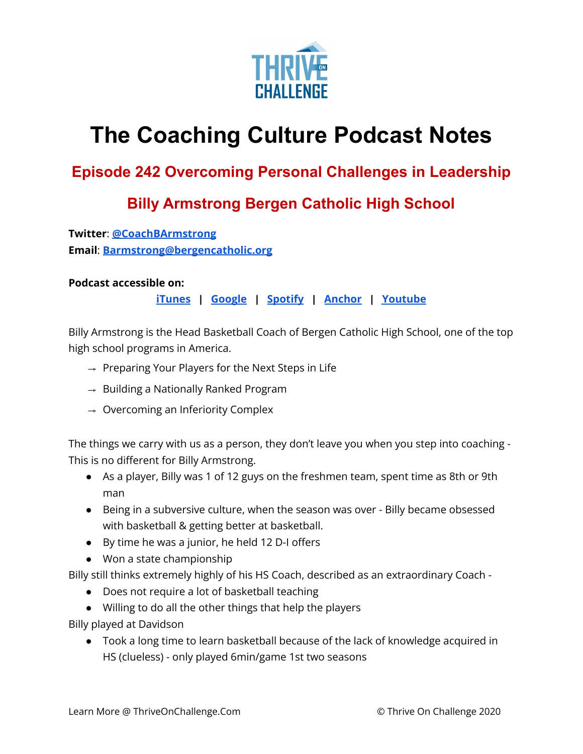

## **The Coaching Culture Podcast Notes**

## **Episode 242 Overcoming Personal Challenges in Leadership**

## **Billy Armstrong Bergen Catholic High School**

**Twitter**: **[@CoachBArmstrong](https://twitter.com/CoachBArmstrong) Email**: **[Barmstrong@bergencatholic.org](mailto:Barmstrong@bergencatholic.org)**

## **Podcast accessible on:**

**[iTunes](https://podcasts.apple.com/us/podcast/coaching-culture/id1286560192) | [Google](https://podcasts.google.com/feed/aHR0cHM6Ly9mZWVkcy5zb3VuZGNsb3VkLmNvbS91c2Vycy9zb3VuZGNsb3VkOnVzZXJzOjQxMDQyNzcvc291bmRzLnJzcw?ved=2ahUKEwiSpYquy9vqAhVbQUEAHSAkC88Q4aUDegQIARAC) | [Spotify](https://open.spotify.com/show/336Hs8udk8s0yXuK3BzSOq) | [Anchor](https://anchor.fm/coachingculturepodcast) | [Youtube](https://www.youtube.com/channel/UC3vIljCBzwHcPyVIx9kiHvw)**

Billy Armstrong is the Head Basketball Coach of Bergen Catholic High School, one of the top high school programs in America.

- ⇾ Preparing Your Players for the Next Steps in Life
- $\rightarrow$  Building a Nationally Ranked Program
- $\rightarrow$  Overcoming an Inferiority Complex

The things we carry with us as a person, they don't leave you when you step into coaching - This is no different for Billy Armstrong.

- As a player, Billy was 1 of 12 guys on the freshmen team, spent time as 8th or 9th man
- Being in a subversive culture, when the season was over Billy became obsessed with basketball & getting better at basketball.
- By time he was a junior, he held 12 D-I offers
- Won a state championship

Billy still thinks extremely highly of his HS Coach, described as an extraordinary Coach -

- Does not require a lot of basketball teaching
- Willing to do all the other things that help the players

Billy played at Davidson

● Took a long time to learn basketball because of the lack of knowledge acquired in HS (clueless) - only played 6min/game 1st two seasons